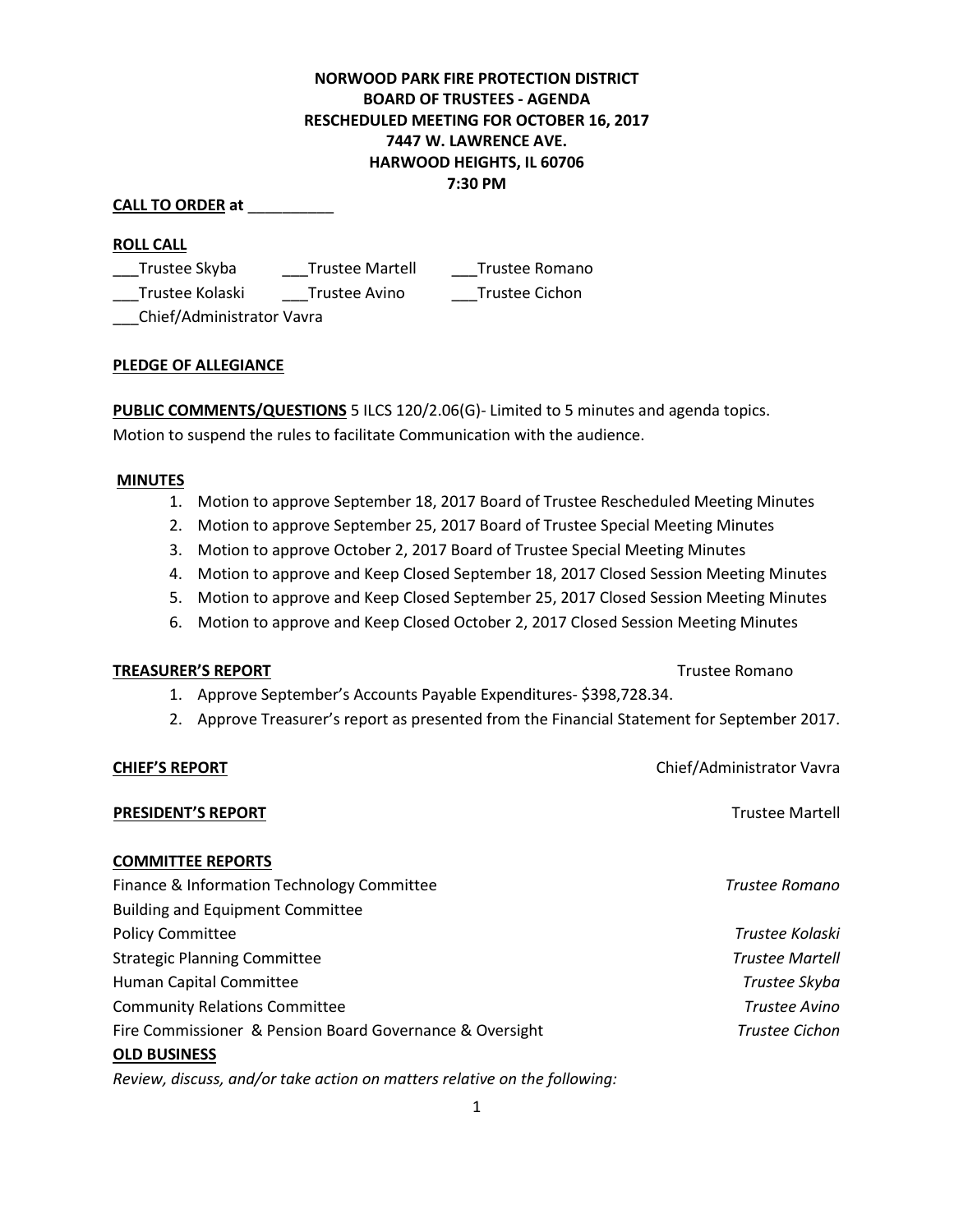# **NORWOOD PARK FIRE PROTECTION DISTRICT BOARD OF TRUSTEES - AGENDA RESCHEDULED MEETING FOR OCTOBER 16, 2017 7447 W. LAWRENCE AVE. HARWOOD HEIGHTS, IL 60706 7:30 PM**

## **CALL TO ORDER at** \_\_\_\_\_\_\_\_\_\_

## **ROLL CALL**

| Trustee Skyba                | <b>Trustee Martell</b> | Trustee Romano |
|------------------------------|------------------------|----------------|
| Trustee Kolaski              | Trustee Avino          | Trustee Cichon |
| $Chif(Admint + r + arU + ar$ |                        |                |

\_\_\_Chief/Administrator Vavra

## **PLEDGE OF ALLEGIANCE**

**PUBLIC COMMENTS/QUESTIONS** 5 ILCS 120/2.06(G)- Limited to 5 minutes and agenda topics. Motion to suspend the rules to facilitate Communication with the audience.

## **MINUTES**

- 1. Motion to approve September 18, 2017 Board of Trustee Rescheduled Meeting Minutes
- 2. Motion to approve September 25, 2017 Board of Trustee Special Meeting Minutes
- 3. Motion to approve October 2, 2017 Board of Trustee Special Meeting Minutes
- 4. Motion to approve and Keep Closed September 18, 2017 Closed Session Meeting Minutes
- 5. Motion to approve and Keep Closed September 25, 2017 Closed Session Meeting Minutes
- 6. Motion to approve and Keep Closed October 2, 2017 Closed Session Meeting Minutes

## **TREASURER'S REPORT** TREASURER'S REPORT

- 1. Approve September's Accounts Payable Expenditures- \$398,728.34.
- 2. Approve Treasurer's report as presented from the Financial Statement for September 2017.

## **CHIEF'S REPORT** Chief/Administrator Vavra

**PRESIDENT'S REPORT** THE RESIDENT'S REPORT

## **COMMITTEE REPORTS**

| Finance & Information Technology Committee               | Trustee Romano         |
|----------------------------------------------------------|------------------------|
| <b>Building and Equipment Committee</b>                  |                        |
| <b>Policy Committee</b>                                  | Trustee Kolaski        |
| <b>Strategic Planning Committee</b>                      | <b>Trustee Martell</b> |
| Human Capital Committee                                  | Trustee Skyba          |
| <b>Community Relations Committee</b>                     | Trustee Avino          |
| Fire Commissioner & Pension Board Governance & Oversight | <b>Trustee Cichon</b>  |
| <b>OLD BUSINESS</b>                                      |                        |

*Review, discuss, and/or take action on matters relative on the following:*